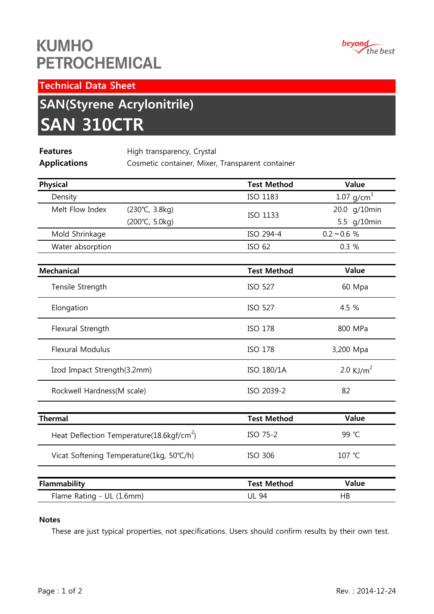## **KUMHO PETROCHEMICAL**



Technical Data Sheet

# SAN(Styrene Acrylonitrile) SAN 310CTR

| <b>Features</b>     | High transparency, Crystal                       |
|---------------------|--------------------------------------------------|
| <b>Applications</b> | Cosmetic container, Mixer, Transparent container |
|                     |                                                  |

| <b>Physical</b>                                       | <b>Test Method</b> | Value                    |
|-------------------------------------------------------|--------------------|--------------------------|
| Density                                               | ISO 1183           | $1.07$ g/cm <sup>3</sup> |
| Melt Flow Index<br>(230°C, 3.8kg)                     | ISO 1133           | 20.0 g/10min             |
| (200°C, 5.0kg)                                        |                    | 5.5 g/10min              |
| Mold Shrinkage                                        | ISO 294-4          | $0.2 - 0.6 %$            |
| Water absorption                                      | ISO 62             | 0.3%                     |
| <b>Mechanical</b>                                     | <b>Test Method</b> | Value                    |
| Tensile Strength                                      | <b>ISO 527</b>     | 60 Mpa                   |
| Elongation                                            | <b>ISO 527</b>     | 4.5 %                    |
| Flexural Strength                                     | <b>ISO 178</b>     | 800 MPa                  |
| <b>Flexural Modulus</b>                               | <b>ISO 178</b>     | 3,200 Mpa                |
| Izod Impact Strength(3.2mm)                           | ISO 180/1A         | 2.0 KJ/m <sup>2</sup>    |
| Rockwell Hardness(M scale)                            | ISO 2039-2         | 82                       |
| <b>Thermal</b>                                        | <b>Test Method</b> | Value                    |
| Heat Deflection Temperature(18.6kgf/cm <sup>2</sup> ) | ISO 75-2           | 99 °C                    |
| Vicat Softening Temperature(1kg, 50°C/h)              | <b>ISO 306</b>     | 107 °C                   |
| Flammability                                          | <b>Test Method</b> | Value                    |
| Flame Rating - UL (1.6mm)                             | <b>UL 94</b>       | HB                       |

#### Notes

These are just typical properties, not specifications. Users should confirm results by their own test.